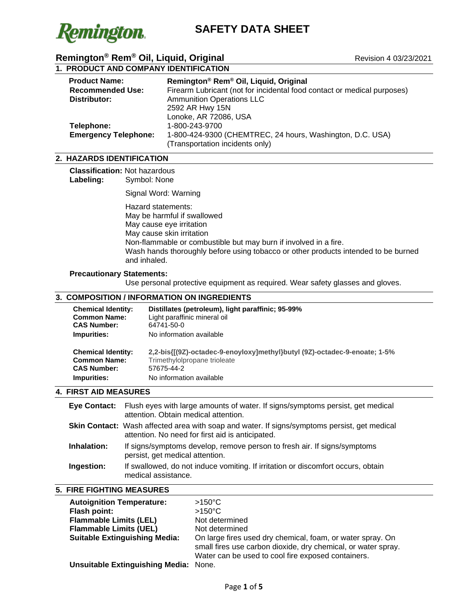

# **1. PRODUCT AND COMPANY IDENTIFICATION**

| <b>Product Name:</b>        | Remington® Rem® Oil, Liquid, Original                                   |
|-----------------------------|-------------------------------------------------------------------------|
| <b>Recommended Use:</b>     | Firearm Lubricant (not for incidental food contact or medical purposes) |
| Distributor:                | <b>Ammunition Operations LLC</b>                                        |
|                             | 2592 AR Hwy 15N                                                         |
|                             | Lonoke, AR 72086, USA                                                   |
| Telephone:                  | 1-800-243-9700                                                          |
| <b>Emergency Telephone:</b> | 1-800-424-9300 (CHEMTREC, 24 hours, Washington, D.C. USA)               |
|                             | (Transportation incidents only)                                         |

## **2. HAZARDS IDENTIFICATION**

**Classification: Not hazardous<br>
<b>Labeling:** Symbol: None Symbol: None

Signal Word: Warning

Hazard statements: May be harmful if swallowed May cause eye irritation May cause skin irritation Non-flammable or combustible but may burn if involved in a fire. Wash hands thoroughly before using tobacco or other products intended to be burned and inhaled.

#### **Precautionary Statements:**

Use personal protective equipment as required. Wear safety glasses and gloves.

## **3. COMPOSITION / INFORMATION ON INGREDIENTS**

| <b>Chemical Identity:</b> | Distillates (petroleum), light paraffinic; 95-99%                         |
|---------------------------|---------------------------------------------------------------------------|
| <b>Common Name:</b>       | Light paraffinic mineral oil                                              |
| <b>CAS Number:</b>        | 64741-50-0                                                                |
| Impurities:               | No information available                                                  |
| <b>Chemical Identity:</b> | 2.2-bis{[(9Z)-octadec-9-enoyloxy]methyl}butyl (9Z)-octadec-9-enoate; 1-5% |
| <b>Common Name:</b>       | Trimethylolpropane trioleate                                              |
| <b>CAS Number:</b>        | 57675-44-2                                                                |
| Impurities:               | No information available                                                  |

#### **4. FIRST AID MEASURES**

|             | Eye Contact: Flush eyes with large amounts of water. If signs/symptoms persist, get medical<br>attention. Obtain medical attention.                     |
|-------------|---------------------------------------------------------------------------------------------------------------------------------------------------------|
|             | <b>Skin Contact:</b> Wash affected area with soap and water. If signs/symptoms persist, get medical<br>attention. No need for first aid is anticipated. |
| Inhalation: | If signs/symptoms develop, remove person to fresh air. If signs/symptoms<br>persist, get medical attention.                                             |
| Ingestion:  | If swallowed, do not induce vomiting. If irritation or discomfort occurs, obtain<br>medical assistance.                                                 |

# **5. FIRE FIGHTING MEASURES**

| <b>Autoignition Temperature:</b><br>Flash point:<br><b>Flammable Limits (LEL)</b><br><b>Flammable Limits (UEL)</b><br><b>Suitable Extinguishing Media:</b> | $>150^{\circ}$ C<br>$>150^{\circ}$ C<br>Not determined<br>Not determined<br>On large fires used dry chemical, foam, or water spray. On |
|------------------------------------------------------------------------------------------------------------------------------------------------------------|----------------------------------------------------------------------------------------------------------------------------------------|
|                                                                                                                                                            | small fires use carbon dioxide, dry chemical, or water spray.<br>Water can be used to cool fire exposed containers.                    |
| <b>Unsuitable Extinguishing Media: None.</b>                                                                                                               |                                                                                                                                        |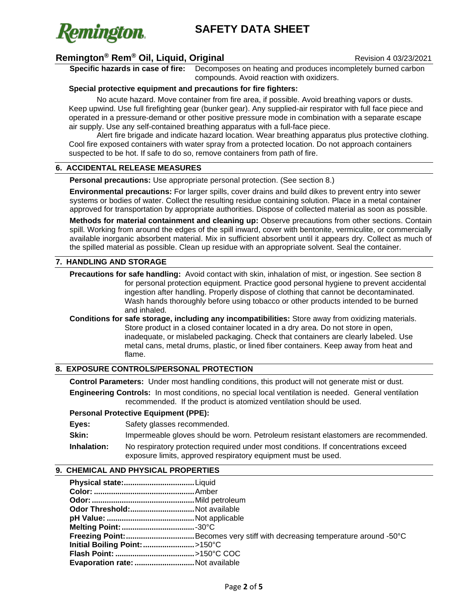

# **Remington® Rem® Oil, Liquid, Original** Revision 4 03/23/2021

**Specific hazards in case of fire:** Decomposes on heating and produces incompletely burned carbon

compounds. Avoid reaction with oxidizers.

### **Special protective equipment and precautions for fire fighters:**

No acute hazard. Move container from fire area, if possible. Avoid breathing vapors or dusts. Keep upwind. Use full firefighting gear (bunker gear). Any supplied-air respirator with full face piece and operated in a pressure-demand or other positive pressure mode in combination with a separate escape air supply. Use any self-contained breathing apparatus with a full-face piece.

Alert fire brigade and indicate hazard location. Wear breathing apparatus plus protective clothing. Cool fire exposed containers with water spray from a protected location. Do not approach containers suspected to be hot. If safe to do so, remove containers from path of fire.

### **6. ACCIDENTAL RELEASE MEASURES**

**Personal precautions:** Use appropriate personal protection. (See section 8.)

**Environmental precautions:** For larger spills, cover drains and build dikes to prevent entry into sewer systems or bodies of water. Collect the resulting residue containing solution. Place in a metal container approved for transportation by appropriate authorities. Dispose of collected material as soon as possible.

**Methods for material containment and cleaning up:** Observe precautions from other sections. Contain spill. Working from around the edges of the spill inward, cover with bentonite, vermiculite, or commercially available inorganic absorbent material. Mix in sufficient absorbent until it appears dry. Collect as much of the spilled material as possible. Clean up residue with an appropriate solvent. Seal the container.

#### **7. HANDLING AND STORAGE**

**Precautions for safe handling:** Avoid contact with skin, inhalation of mist, or ingestion. See section 8 for personal protection equipment. Practice good personal hygiene to prevent accidental ingestion after handling. Properly dispose of clothing that cannot be decontaminated. Wash hands thoroughly before using tobacco or other products intended to be burned and inhaled.

**Conditions for safe storage, including any incompatibilities:** Store away from oxidizing materials. Store product in a closed container located in a dry area. Do not store in open, inadequate, or mislabeled packaging. Check that containers are clearly labeled. Use metal cans, metal drums, plastic, or lined fiber containers. Keep away from heat and flame.

### **8. EXPOSURE CONTROLS/PERSONAL PROTECTION**

**Control Parameters:** Under most handling conditions, this product will not generate mist or dust. **Engineering Controls:** In most conditions, no special local ventilation is needed. General ventilation recommended. If the product is atomized ventilation should be used.

#### **Personal Protective Equipment (PPE):**

Eyes: Safety glasses recommended.

**Skin:** Impermeable gloves should be worn. Petroleum resistant elastomers are recommended.

**Inhalation:** No respiratory protection required under most conditions. If concentrations exceed exposure limits, approved respiratory equipment must be used.

### **9. CHEMICAL AND PHYSICAL PROPERTIES**

| Odor Threshold:Not available    |                                                                            |
|---------------------------------|----------------------------------------------------------------------------|
|                                 |                                                                            |
|                                 |                                                                            |
|                                 | Freezing Point:Becomes very stiff with decreasing temperature around -50°C |
| Initial Boiling Point: >150°C   |                                                                            |
|                                 |                                                                            |
| Evaporation rate: Not available |                                                                            |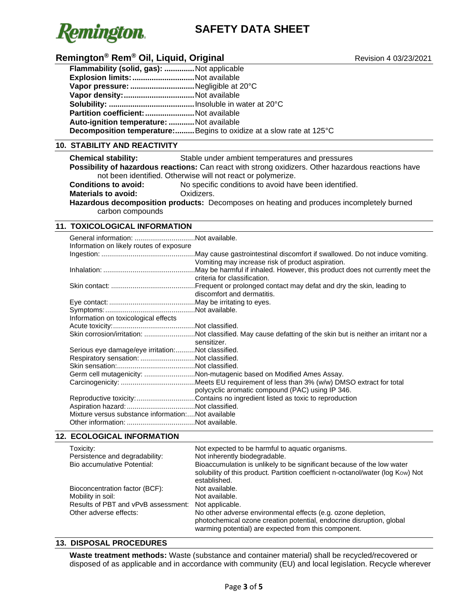

# **Remington<sup>®</sup> Rem® Oil, Liquid, Original Remington<sup>®</sup> Revision 4 03/23/2021**

| <b>Flammability (solid, gas): </b> Not applicable |                                                                             |
|---------------------------------------------------|-----------------------------------------------------------------------------|
| Explosion limits: Not available                   |                                                                             |
| Vapor pressure: Negligible at 20°C                |                                                                             |
|                                                   |                                                                             |
|                                                   |                                                                             |
| Partition coefficient: Not available              |                                                                             |
| Auto-ignition temperature: Not available          |                                                                             |
|                                                   | <b>Decomposition temperature:</b> Begins to oxidize at a slow rate at 125°C |

# **10. STABILITY AND REACTIVITY**

**Chemical stability:** Stable under ambient temperatures and pressures

**Possibility of hazardous reactions:** Can react with strong oxidizers. Other hazardous reactions have not been identified. Otherwise will not react or polymerize.

**Conditions to avoid:** No specific conditions to avoid have been identified.<br> **Materials to avoid:** Cxidizers. **Materials to avoid:** 

**Hazardous decomposition products:** Decomposes on heating and produces incompletely burned carbon compounds

## **11. TOXICOLOGICAL INFORMATION**

| Information on likely routes of exposure           |                                                                                                                            |
|----------------------------------------------------|----------------------------------------------------------------------------------------------------------------------------|
|                                                    | Vomiting may increase risk of product aspiration.                                                                          |
|                                                    | May be harmful if inhaled. However, this product does not currently meet the<br>criteria for classification.               |
|                                                    | Frequent or prolonged contact may defat and dry the skin, leading to<br>discomfort and dermatitis.                         |
|                                                    |                                                                                                                            |
|                                                    |                                                                                                                            |
| Information on toxicological effects               |                                                                                                                            |
|                                                    |                                                                                                                            |
|                                                    | Skin corrosion/irritation: Not classified. May cause defatting of the skin but is neither an irritant nor a<br>sensitizer. |
| Serious eye damage/eye irritation:Not classified.  |                                                                                                                            |
| Respiratory sensation: Not classified.             |                                                                                                                            |
|                                                    |                                                                                                                            |
|                                                    | Germ cell mutagenicity: Non-mutagenic based on Modified Ames Assay.                                                        |
|                                                    | Meets EU requirement of less than 3% (w/w) DMSO extract for total<br>polycyclic aromatic compound (PAC) using IP 346.      |
|                                                    | Reproductive toxicity:Contains no ingredient listed as toxic to reproduction                                               |
|                                                    |                                                                                                                            |
| Mixture versus substance information:Not available |                                                                                                                            |
|                                                    |                                                                                                                            |

### **12. ECOLOGICAL INFORMATION**

| Toxicity:                           | Not expected to be harmful to aquatic organisms.                                                                                                                                              |
|-------------------------------------|-----------------------------------------------------------------------------------------------------------------------------------------------------------------------------------------------|
| Persistence and degradability:      | Not inherently biodegradable.                                                                                                                                                                 |
| Bio accumulative Potential:         | Bioaccumulation is unlikely to be significant because of the low water<br>solubility of this product. Partition coefficient n-octanol/water (log Kow) Not<br>established.                     |
| Bioconcentration factor (BCF):      | Not available.                                                                                                                                                                                |
| Mobility in soil:                   | Not available.                                                                                                                                                                                |
| Results of PBT and vPvB assessment: | Not applicable.                                                                                                                                                                               |
| Other adverse effects:              | No other adverse environmental effects (e.g. ozone depletion,<br>photochemical ozone creation potential, endocrine disruption, global<br>warming potential) are expected from this component. |

# **13. DISPOSAL PROCEDURES**

**Waste treatment methods:** Waste (substance and container material) shall be recycled/recovered or disposed of as applicable and in accordance with community (EU) and local legislation. Recycle wherever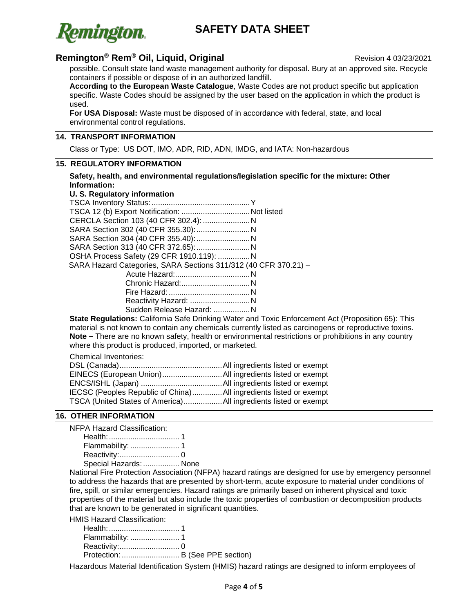

# **Remington<sup>®</sup> Rem® Oil, Liquid, Original Remington® Revision 4 03/23/2021**

possible. Consult state land waste management authority for disposal. Bury at an approved site. Recycle containers if possible or dispose of in an authorized landfill.

**According to the European Waste Catalogue**, Waste Codes are not product specific but application specific. Waste Codes should be assigned by the user based on the application in which the product is used.

**For USA Disposal:** Waste must be disposed of in accordance with federal, state, and local environmental control regulations.

### **14. TRANSPORT INFORMATION**

Class or Type: US DOT, IMO, ADR, RID, ADN, IMDG, and IATA: Non-hazardous

#### **15. REGULATORY INFORMATION**

**Safety, health, and environmental regulations/legislation specific for the mixture: Other Information:**

# **U. S. Regulatory information**

| CERCLA Section 103 (40 CFR 302.4):  N                           |  |
|-----------------------------------------------------------------|--|
|                                                                 |  |
|                                                                 |  |
|                                                                 |  |
| OSHA Process Safety (29 CFR 1910.119):  N                       |  |
| SARA Hazard Categories, SARA Sections 311/312 (40 CFR 370.21) - |  |
|                                                                 |  |
|                                                                 |  |
|                                                                 |  |
| Reactivity Hazard: N                                            |  |
| Sudden Release Hazard: N                                        |  |
|                                                                 |  |

**State Regulations:** California Safe Drinking Water and Toxic Enforcement Act (Proposition 65): This material is not known to contain any chemicals currently listed as carcinogens or reproductive toxins. **Note –** There are no known safety, health or environmental restrictions or prohibitions in any country where this product is produced, imported, or marketed.

Chemical Inventories:

| IECSC (Peoples Republic of China)All ingredients listed or exempt |  |
|-------------------------------------------------------------------|--|
|                                                                   |  |

### **16. OTHER INFORMATION**

NFPA Hazard Classification:

| Special Hazards:  None |  |
|------------------------|--|

National Fire Protection Association (NFPA) hazard ratings are designed for use by emergency personnel to address the hazards that are presented by short-term, acute exposure to material under conditions of fire, spill, or similar emergencies. Hazard ratings are primarily based on inherent physical and toxic properties of the material but also include the toxic properties of combustion or decomposition products that are known to be generated in significant quantities.

HMIS Hazard Classification:

Health:................................. 1 Flammability: ....................... 1 Reactivity:............................ 0 Protection: ........................... B (See PPE section)

Hazardous Material Identification System (HMIS) hazard ratings are designed to inform employees of